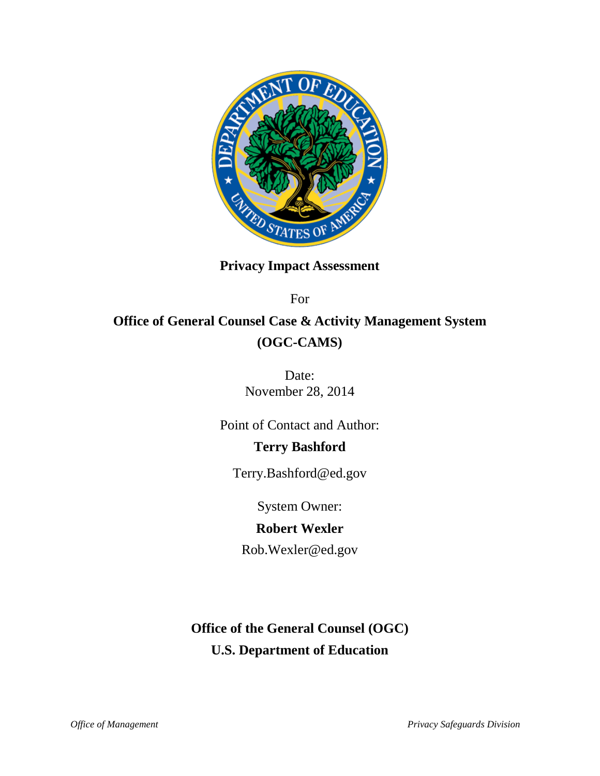

# **Privacy Impact Assessment**

For

# **Office of General Counsel Case & Activity Management System (OGC-CAMS)**

Date: November 28, 2014

Point of Contact and Author:

## **Terry Bashford**

Terry.Bashford@ed.gov

System Owner:

## **Robert Wexler**

Rob.Wexler@ed.gov

**Office of the General Counsel (OGC) U.S. Department of Education**

*Office of Management Privacy Safeguards Division*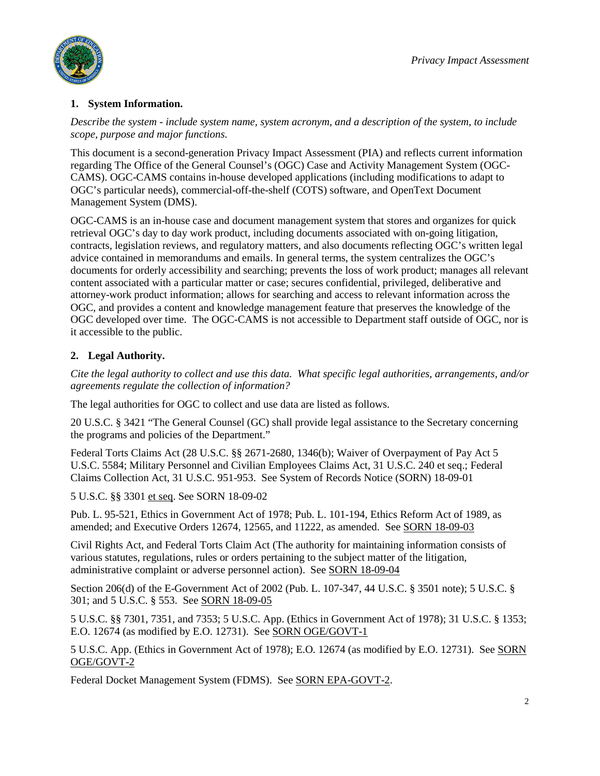

#### **1. System Information.**

*Describe the system - include system name, system acronym, and a description of the system, to include scope, purpose and major functions.*

This document is a second-generation Privacy Impact Assessment (PIA) and reflects current information regarding The Office of the General Counsel's (OGC) Case and Activity Management System (OGC-CAMS). OGC-CAMS contains in-house developed applications (including modifications to adapt to OGC's particular needs), commercial-off-the-shelf (COTS) software, and OpenText Document Management System (DMS).

OGC-CAMS is an in-house case and document management system that stores and organizes for quick retrieval OGC's day to day work product, including documents associated with on-going litigation, contracts, legislation reviews, and regulatory matters, and also documents reflecting OGC's written legal advice contained in memorandums and emails. In general terms, the system centralizes the OGC's documents for orderly accessibility and searching; prevents the loss of work product; manages all relevant content associated with a particular matter or case; secures confidential, privileged, deliberative and attorney-work product information; allows for searching and access to relevant information across the OGC, and provides a content and knowledge management feature that preserves the knowledge of the OGC developed over time. The OGC-CAMS is not accessible to Department staff outside of OGC, nor is it accessible to the public.

### **2. Legal Authority.**

*Cite the legal authority to collect and use this data. What specific legal authorities, arrangements, and/or agreements regulate the collection of information?*

The legal authorities for OGC to collect and use data are listed as follows.

20 U.S.C. § 3421 "The General Counsel (GC) shall provide legal assistance to the Secretary concerning the programs and policies of the Department."

Federal Torts Claims Act (28 U.S.C. §§ 2671-2680, 1346(b); Waiver of Overpayment of Pay Act 5 U.S.C. 5584; Military Personnel and Civilian Employees Claims Act, 31 U.S.C. 240 et seq.; Federal Claims Collection Act, 31 U.S.C. 951-953. See System of Records Notice [\(SORN\) 18-09-01](http://www2.ed.gov/notices/pai/pai-18-09-01.pdf)

5 U.S.C. §§ 3301 et seq. See [SORN 18-09-02](http://www2.ed.gov/notices/pai/pai-18-09-02.pdf)

Pub. L. 95-521, Ethics in Government Act of 1978; Pub. L. 101-194, Ethics Reform Act of 1989, as amended; and Executive Orders 12674, 12565, and 11222, as amended. Se[e SORN 18-09-03](http://www2.ed.gov/notices/pai/pai-18-09-03.pdf)

Civil Rights Act, and Federal Torts Claim Act (The authority for maintaining information consists of various statutes, regulations, rules or orders pertaining to the subject matter of the litigation, administrative complaint or adverse personnel action). See [SORN 18-09-04](http://www2.ed.gov/notices/pai/pai-18-09-04.pdf)

Section 206(d) of the E-Government Act of 2002 (Pub. L. 107-347, 44 U.S.C. § 3501 note); 5 U.S.C. § 301; and 5 U.S.C. § 553. See [SORN 18-09-05](http://www2.ed.gov/notices/pai/pai-18-09-05.pdf)

5 U.S.C. §§ 7301, 7351, and 7353; 5 U.S.C. App. (Ethics in Government Act of 1978); 31 U.S.C. § 1353; E.O. 12674 (as modified by E.O. 12731). See [SORN OGE/GOVT-1](http://edocket.access.gpo.gov/2003/03-1101.htm)

5 U.S.C. App. (Ethics in Government Act of 1978); E.O. 12674 (as modified by E.O. 12731). See [SORN](http://edocket.access.gpo.gov/2003/03-1101.htm)  [OGE/GOVT-2](http://edocket.access.gpo.gov/2003/03-1101.htm)

Federal Docket Management System (FDMS). Se[e SORN EPA-GOVT-2.](http://www.epa.gov/privacy/notice/epa-govt-2.htm)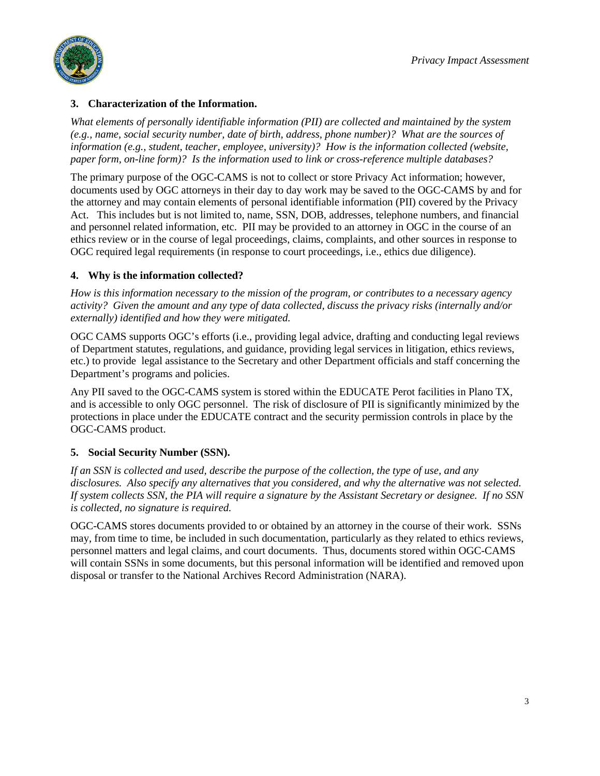

#### **3. Characterization of the Information.**

*What elements of personally identifiable information (PII) are collected and maintained by the system (e.g., name, social security number, date of birth, address, phone number)? What are the sources of information (e.g., student, teacher, employee, university)? How is the information collected (website, paper form, on-line form)? Is the information used to link or cross-reference multiple databases?*

The primary purpose of the OGC-CAMS is not to collect or store Privacy Act information; however, documents used by OGC attorneys in their day to day work may be saved to the OGC-CAMS by and for the attorney and may contain elements of personal identifiable information (PII) covered by the Privacy Act. This includes but is not limited to, name, SSN, DOB, addresses, telephone numbers, and financial and personnel related information, etc. PII may be provided to an attorney in OGC in the course of an ethics review or in the course of legal proceedings, claims, complaints, and other sources in response to OGC required legal requirements (in response to court proceedings, i.e., ethics due diligence).

#### **4. Why is the information collected?**

*How is this information necessary to the mission of the program, or contributes to a necessary agency activity? Given the amount and any type of data collected, discuss the privacy risks (internally and/or externally) identified and how they were mitigated.*

OGC CAMS supports OGC's efforts (i.e., providing legal advice, drafting and conducting legal reviews of Department statutes, regulations, and guidance, providing legal services in litigation, ethics reviews, etc.) to provide legal assistance to the Secretary and other Department officials and staff concerning the Department's programs and policies.

Any PII saved to the OGC-CAMS system is stored within the EDUCATE Perot facilities in Plano TX, and is accessible to only OGC personnel. The risk of disclosure of PII is significantly minimized by the protections in place under the EDUCATE contract and the security permission controls in place by the OGC-CAMS product.

#### **5. Social Security Number (SSN).**

*If an SSN is collected and used, describe the purpose of the collection, the type of use, and any disclosures. Also specify any alternatives that you considered, and why the alternative was not selected. If system collects SSN, the PIA will require a signature by the Assistant Secretary or designee. If no SSN is collected, no signature is required.*

OGC-CAMS stores documents provided to or obtained by an attorney in the course of their work. SSNs may, from time to time, be included in such documentation, particularly as they related to ethics reviews, personnel matters and legal claims, and court documents. Thus, documents stored within OGC-CAMS will contain SSNs in some documents, but this personal information will be identified and removed upon disposal or transfer to the National Archives Record Administration (NARA).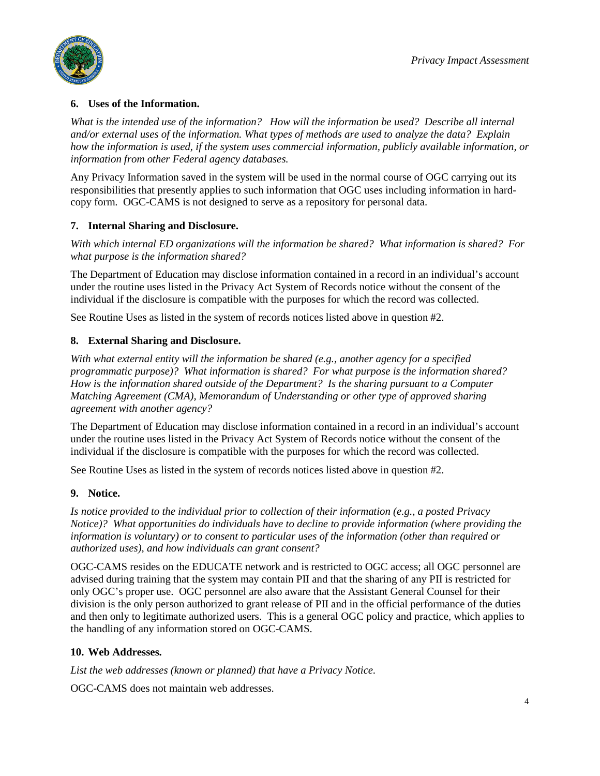

#### **6. Uses of the Information.**

*What is the intended use of the information? How will the information be used? Describe all internal and/or external uses of the information. What types of methods are used to analyze the data? Explain how the information is used, if the system uses commercial information, publicly available information, or information from other Federal agency databases.*

Any Privacy Information saved in the system will be used in the normal course of OGC carrying out its responsibilities that presently applies to such information that OGC uses including information in hardcopy form. OGC-CAMS is not designed to serve as a repository for personal data.

#### **7. Internal Sharing and Disclosure.**

*With which internal ED organizations will the information be shared? What information is shared? For what purpose is the information shared?*

The Department of Education may disclose information contained in a record in an individual's account under the routine uses listed in the Privacy Act System of Records notice without the consent of the individual if the disclosure is compatible with the purposes for which the record was collected.

See Routine Uses as listed in the system of records notices listed above in question #2.

#### **8. External Sharing and Disclosure.**

*With what external entity will the information be shared (e.g., another agency for a specified programmatic purpose)? What information is shared? For what purpose is the information shared? How is the information shared outside of the Department? Is the sharing pursuant to a Computer Matching Agreement (CMA), Memorandum of Understanding or other type of approved sharing agreement with another agency?*

The Department of Education may disclose information contained in a record in an individual's account under the routine uses listed in the Privacy Act System of Records notice without the consent of the individual if the disclosure is compatible with the purposes for which the record was collected.

See Routine Uses as listed in the system of records notices listed above in question #2.

#### **9. Notice.**

*Is notice provided to the individual prior to collection of their information (e.g., a posted Privacy Notice)? What opportunities do individuals have to decline to provide information (where providing the information is voluntary) or to consent to particular uses of the information (other than required or authorized uses), and how individuals can grant consent?* 

OGC-CAMS resides on the EDUCATE network and is restricted to OGC access; all OGC personnel are advised during training that the system may contain PII and that the sharing of any PII is restricted for only OGC's proper use. OGC personnel are also aware that the Assistant General Counsel for their division is the only person authorized to grant release of PII and in the official performance of the duties and then only to legitimate authorized users. This is a general OGC policy and practice, which applies to the handling of any information stored on OGC-CAMS.

#### **10. Web Addresses.**

*List the web addresses (known or planned) that have a Privacy Notice.*

OGC-CAMS does not maintain web addresses.